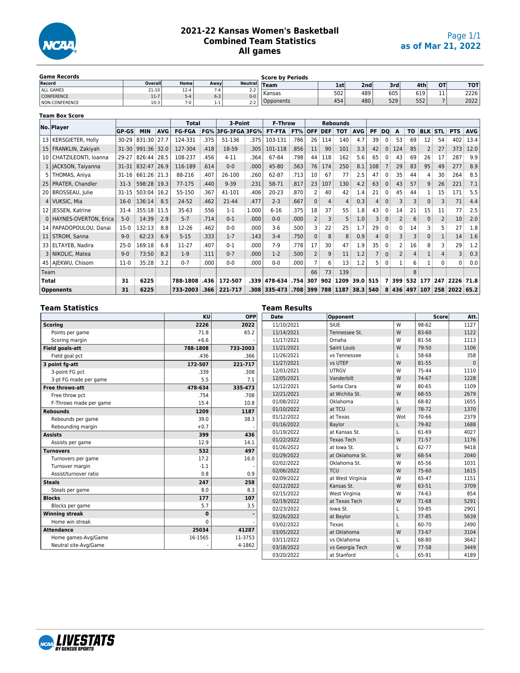

## **2021-22 Kansas Women's Basketball Combined Team Statistics All games**

| <b>Game Records</b> |         |          |         |                          | <b>Score by Periods</b> |                  |     |     |     |           |            |
|---------------------|---------|----------|---------|--------------------------|-------------------------|------------------|-----|-----|-----|-----------|------------|
| Record              | Overall | Home     | Awavl   | <b>Neutrall</b>          | <b>Team</b>             | 1st <sup>'</sup> | 2nd | 3rd | 4th | <b>OT</b> | <b>TOT</b> |
| ALL GAMES           | $21-10$ | $12 - 4$ | $7 - 4$ | $\sim$ $\sim$<br>$2 - 2$ | Kansas                  | 502              | 489 | 605 | 619 | - -       | 2226       |
| CONFERENCE          | $11-7$  | 5-4      | $6 - 3$ | $0 - 0$                  |                         |                  |     |     |     | . .       |            |
| NON-CONFERENCE      | $10-3$  |          | 1-1     | $2-2$                    | Opponents               | 454              | 480 | 529 | 552 |           | 2022       |

|                 | <b>Team Box Score</b>     |              |             |            |               |      |                   |       |                |      |                |            |                 |            |           |                |                |           |                |                |            |            |
|-----------------|---------------------------|--------------|-------------|------------|---------------|------|-------------------|-------|----------------|------|----------------|------------|-----------------|------------|-----------|----------------|----------------|-----------|----------------|----------------|------------|------------|
|                 | No. Player                |              |             |            | <b>Total</b>  |      | 3-Point           |       | <b>F-Throw</b> |      |                |            | <b>Rebounds</b> |            |           |                |                |           |                |                |            |            |
|                 |                           | <b>GP-GS</b> | <b>MIN</b>  | <b>AVG</b> | <b>FG-FGA</b> |      | FG% 3FG-3FGA 3FG% |       | <b>FT-FTA</b>  | FT%  | <b>OFF</b>     | <b>DEF</b> | <b>TOT</b>      | <b>AVG</b> | <b>PF</b> | DQ             | A              | <b>TO</b> |                | <b>BLK STL</b> | <b>PTS</b> | <b>AVG</b> |
| 13 <sup>1</sup> | KERSGIETER, Holly         | $30 - 29$    | 831:30      | 27.7       | 124-331       | .375 | 51-136            | .375  | 103-131        | .786 | 26             | 114        | 140             | 4.7        | 39        | 0              | 53             | 69        | 12             | 54             | 402        | 13.4       |
|                 | 15   FRANKLIN, Zakiyah    | $31 - 30$    | 991:36 32.0 |            | 127-304       | .418 | 18-59             | .305  | 101-118        | .856 | 11             | 90         | 101             | 3.3        | 42        | 0              | 124            | 85        | $\overline{2}$ | 27             | 373        | 12.0       |
| 10 <sub>1</sub> | CHATZILEONTI, Ioanna      | 29-27        | 826:44      | 28.5       | 108-237       | .456 | $4 - 11$          | .364  | 67-84          | .798 | 44             | 118        | 162             | 5.6        | 65        | 0              | 43             | 69        | 26             | 17             | 287        | 9.9        |
|                 | 1   JACKSON, Taiyanna     | 31-31        | 832:47 26.9 |            | 116-189       | .614 | $0 - 0$           | .000  | 45-80          | .563 | 76             | 174        | 250             | 8.1        | 108       |                | 29             | 83        | 95             | 49             | 277        | 8.9        |
|                 | THOMAS, Aniya             | $31 - 16$    | 661:26 21.3 |            | 88-216        | .407 | 26-100            | .260  | 62-87          | .713 | 10             | 67         | 77              | 2.5        | 47        | 0              | 35             | 44        | 4              | 30             | 264        | 8.5        |
|                 | 25   PRATER, Chandler     | $31-3$       | 598:28 19.3 |            | 77-175        | .440 | $9 - 39$          | .231  | 58-71          | .817 | 23             | 107        | 130             | 4.2        | 63        | 0 <sup>1</sup> | 43             | 57        | 9              | 26             | 221        | 7.1        |
| 20              | BROSSEAU, Julie           | $31 - 15$    | 503:04      | 16.2       | 55-150        | .367 | 41-101            | .406  | $20 - 23$      | .870 | 2              | 40         | 42              | 1.4        | 21        | 0              | 45             | 44        |                | 15             | 171        | 5.5        |
|                 | 4   VUKSIC, Mia           | $16-0$       | 136:14      | 8.5        | 24-52         | .462 | 21-44             | .477  | $2 - 3$        | .667 | 0              | 4          | 4               | 0.3        | 4         | 0              | 3              | 3         | 0              | 3              | 71         | 4.4        |
|                 | 12   IESSEN, Katrine      | $31 - 4$     | 355:18      | 11.5       | $35 - 63$     | .556 | $1 - 1$           | 1.000 | $6 - 16$       | .375 | 18             | 37         | 55              | 1.8        | 43        | 0              | 14             | 21        | 15             | 11             | 77         | 2.5        |
|                 | 0   HAYNES-OVERTON, Erica | $5-0$        | 14:39       | 2.9        | $5 - 7$       | .714 | $0 - 1$           | .000  | $0 - 0$        | .000 | 2              | 3          | 5               | 1.0        | 3         | 0              | $\overline{2}$ | 6         | 0              | $\overline{2}$ | 10         | 2.0        |
| 14 I            | PAPADOPOULOU, Danai       | $15-0$       | 132:13      | 8.8        | 12-26         | .462 | $0 - 0$           | .000  | $3-6$          | .500 |                | 22         | 25              | 1.7        | 29        | 0              | 0              | 14        | 3              | 5              | 27         | 1.8        |
| 11 <sup>1</sup> | STROM, Sanna              | $9 - 0$      | 62:23       | 6.9        | $5 - 15$      | .333 | $1 - 7$           | .143  | $3 - 4$        | .750 | 0              | 8          | 8               | 0.9        | 4         | 0              | 3              | 3         | 0              | $\mathbf{1}$   | 14         | 1.6        |
| 33 l            | ELTAYEB, Nadira           | $25-0$       | 169:18      | 6.8        | 11-27         | .407 | $0 - 1$           | .000  | $7-9$          | .778 | 17             | 30         | 47              | 1.9        | 35        | 0              | 2              | 16        | 8              | 3              | 29         | 1.2        |
|                 | 3   NIKOLIC, Matea        | $9 - 0$      | 73:50       | 8.2        | $1-9$         | .111 | $0 - 7$           | .000  | $1-2$          | .500 | $\overline{2}$ | 9          | 11              | 1.2        |           | 0              | 2              |           | 1              |                |            | 0.3        |
|                 | 45   AJEKWU, Chisom       | $11-0$       | 35:28       | 3.2        | $0 - 7$       | .000 | $0 - 0$           | .000  | $0 - 0$        | .000 |                | 6          | 13              | 1.2        | 5         | 0              |                | 6         |                | $\Omega$       | 0          | 0.0        |
| Team            |                           |              |             |            |               |      |                   |       |                |      | 66             | 73         | 139             |            |           |                |                | 8         |                |                |            |            |
| <b>Total</b>    |                           | 31           | 6225        |            | 788-1808      | .436 | 172-507           | .339  | 478-634        | .754 | 307            | 902        | 1209            | 39.0       | 515       |                | 399            | 532       | 177            | 247            | 2226       | 71.8       |
|                 | <b>Opponents</b>          | 31           | 6225        |            | 733-2003      | .366 | 221-717           | .308  | 335-473        | .708 | 399            | 788        | 1187            | 38.3       | 540       |                | 8 436          | 497       | 107            | 258            | 2022       | 65.2       |

| Team Statistics        |           |          | Team Results |                   |     |           |          |
|------------------------|-----------|----------|--------------|-------------------|-----|-----------|----------|
|                        | KU        | OPP      | Date         | Opponent          |     | Score     | Att.     |
| <b>Scoring</b>         | 2226      | 2022     | 11/10/2021   | <b>SIUE</b>       | W   | 98-62     | 1127     |
| Points per game        | 71.8      | 65.2     | 11/14/2021   | Tennessee St.     | W   | 83-60     | 1122     |
| Scoring margin         | $+6.6$    |          | 11/17/2021   | Omaha             | W   | 81-56     | 1113     |
| Field goals-att        | 788-1808  | 733-2003 | 11/21/2021   | Saint Louis       | W   | 79-50     | 1106     |
| Field goal pct         | .436      | .366     | 11/26/2021   | vs Tennessee      |     | 58-68     | 358      |
| 3 point fg-att         | 172-507   | 221-717  | 11/27/2021   | vs UTEP           | W   | 81-55     | $\Omega$ |
| 3-point FG pct         | .339      | .308     | 12/01/2021   | <b>UTRGV</b>      | W   | 75-44     | 1110     |
| 3-pt FG made per game  | 5.5       | 7.1      | 12/05/2021   | Vanderbilt        | W   | 74-67     | 1228     |
| <b>Free throws-att</b> | 478-634   | 335-473  | 12/12/2021   | Santa Clara       | W   | 80-65     | 1109     |
| Free throw pct         | .754      | .708     | 12/21/2021   | at Wichita St.    | W   | 68-55     | 2679     |
| F-Throws made per game | 15.4      | 10.8     | 01/08/2022   | Oklahoma          |     | 68-82     | 1655     |
| <b>Rebounds</b>        | 1209      | 1187     | 01/10/2022   | at TCU            | W   | 78-72     | 1370     |
| Rebounds per game      | 39.0      | 38.3     | 01/12/2022   | at Texas          | Wot | 70-66     | 2379     |
| Rebounding margin      | $+0.7$    |          | 01/16/2022   | Baylor            |     | 79-82     | 1688     |
| <b>Assists</b>         | 399       | 436      | 01/19/2022   | at Kansas St.     |     | 61-69     | 4027     |
| Assists per game       | 12.9      | 14.1     | 01/22/2022   | <b>Texas Tech</b> | W   | $71-57$   | 1176     |
| <b>Turnovers</b>       | 532       | 497      | 01/26/2022   | at Iowa St.       |     | 62-77     | 9418     |
| Turnovers per game     | 17.2      | 16.0     | 01/29/2022   | at Oklahoma St.   | W   | 68-54     | 2040     |
| Turnover margin        | $-1.1$    |          | 02/02/2022   | Oklahoma St.      | W   | 65-56     | 1031     |
| Assist/turnover ratio  | 0.8       | 0.9      | 02/06/2022   | <b>TCU</b>        | W   | 75-60     | 1615     |
| <b>Steals</b>          | 247       | 258      | 02/09/2022   | at West Virginia  | W   | 65-47     | 1151     |
| Steals per game        | 8.0       | 8.3      | 02/12/2022   | Kansas St.        | W   | 63-51     | 3709     |
| <b>Blocks</b>          | 177       | 107      | 02/15/2022   | West Virginia     | W   | 74-63     | 854      |
|                        | 5.7       | 3.5      | 02/19/2022   | at Texas Tech     | W   | 71-68     | 5291     |
| Blocks per game        |           |          | 02/23/2022   | lowa St.          |     | 59-85     | 2901     |
| <b>Winning streak</b>  | $\pmb{0}$ |          | 02/26/2022   | at Baylor         |     | $77 - 85$ | 5639     |
| Home win streak        | $\Omega$  |          | 03/02/2022   | Texas             |     | 60-70     | 2490     |
| <b>Attendance</b>      | 25034     | 41287    | 03/05/2022   | at Oklahoma       | W   | 73-67     | 3104     |
| Home games-Avg/Game    | 16-1565   | 11-3753  | 03/11/2022   | vs Oklahoma       |     | 68-80     | 3642     |
| Neutral site-Avg/Game  |           | 4-1862   | 03/18/2022   | vs Georgia Tech   | W   | 77-58     | 3449     |
|                        |           |          | 03/20/2022   | at Stanford       |     | 65-91     | 4189     |